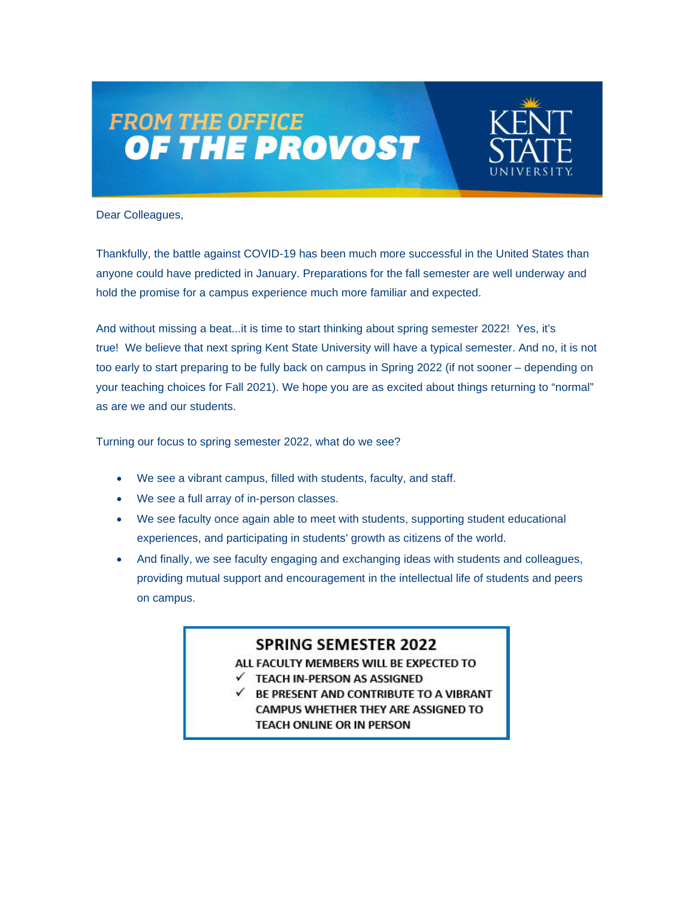## **FROM THE OFFICE<br>OF THE PROVOST**



Dear Colleagues,

Thankfully, the battle against COVID-19 has been much more successful in the United States than anyone could have predicted in January. Preparations for the fall semester are well underway and hold the promise for a campus experience much more familiar and expected.

And without missing a beat...it is time to start thinking about spring semester 2022! Yes, it's true! We believe that next spring Kent State University will have a typical semester. And no, it is not too early to start preparing to be fully back on campus in Spring 2022 (if not sooner – depending on your teaching choices for Fall 2021). We hope you are as excited about things returning to "normal" as are we and our students.

Turning our focus to spring semester 2022, what do we see?

- We see a vibrant campus, filled with students, faculty, and staff.
- We see a full array of in-person classes.
- We see faculty once again able to meet with students, supporting student educational experiences, and participating in students' growth as citizens of the world.
- And finally, we see faculty engaging and exchanging ideas with students and colleagues, providing mutual support and encouragement in the intellectual life of students and peers on campus.

## **SPRING SEMESTER 2022**

ALL FACULTY MEMBERS WILL BE EXPECTED TO

- TEACH IN-PERSON AS ASSIGNED ✓
- BE PRESENT AND CONTRIBUTE TO A VIBRANT **CAMPUS WHETHER THEY ARE ASSIGNED TO TEACH ONLINE OR IN PERSON**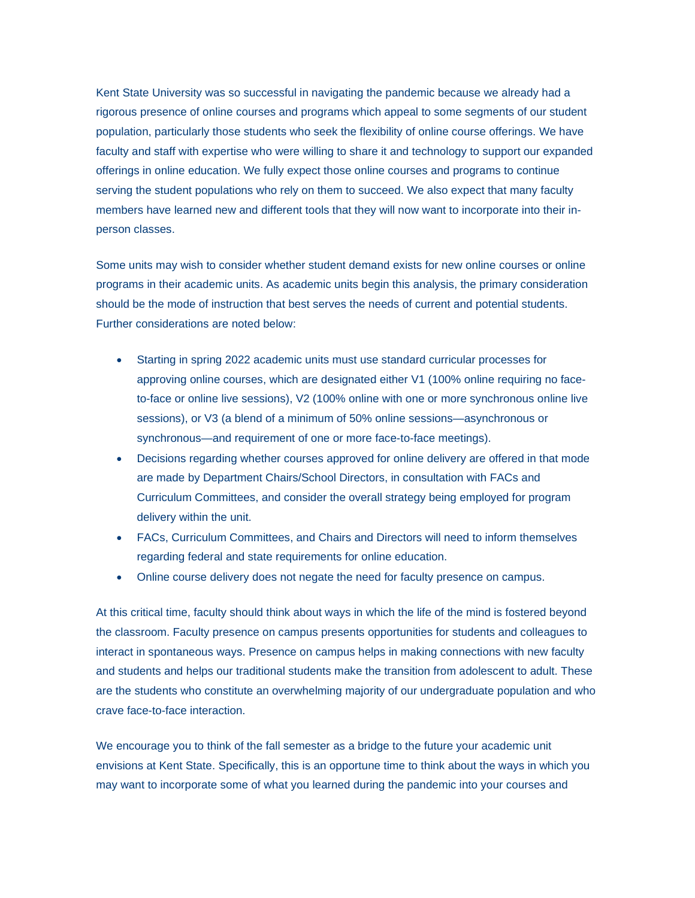Kent State University was so successful in navigating the pandemic because we already had a rigorous presence of online courses and programs which appeal to some segments of our student population, particularly those students who seek the flexibility of online course offerings. We have faculty and staff with expertise who were willing to share it and technology to support our expanded offerings in online education. We fully expect those online courses and programs to continue serving the student populations who rely on them to succeed. We also expect that many faculty members have learned new and different tools that they will now want to incorporate into their inperson classes.

Some units may wish to consider whether student demand exists for new online courses or online programs in their academic units. As academic units begin this analysis, the primary consideration should be the mode of instruction that best serves the needs of current and potential students. Further considerations are noted below:

- Starting in spring 2022 academic units must use standard curricular processes for approving online courses, which are designated either V1 (100% online requiring no faceto-face or online live sessions), V2 (100% online with one or more synchronous online live sessions), or V3 (a blend of a minimum of 50% online sessions—asynchronous or synchronous—and requirement of one or more face-to-face meetings).
- Decisions regarding whether courses approved for online delivery are offered in that mode are made by Department Chairs/School Directors, in consultation with FACs and Curriculum Committees, and consider the overall strategy being employed for program delivery within the unit.
- FACs, Curriculum Committees, and Chairs and Directors will need to inform themselves regarding federal and state requirements for online education.
- Online course delivery does not negate the need for faculty presence on campus.

At this critical time, faculty should think about ways in which the life of the mind is fostered beyond the classroom. Faculty presence on campus presents opportunities for students and colleagues to interact in spontaneous ways. Presence on campus helps in making connections with new faculty and students and helps our traditional students make the transition from adolescent to adult. These are the students who constitute an overwhelming majority of our undergraduate population and who crave face-to-face interaction.

We encourage you to think of the fall semester as a bridge to the future your academic unit envisions at Kent State. Specifically, this is an opportune time to think about the ways in which you may want to incorporate some of what you learned during the pandemic into your courses and